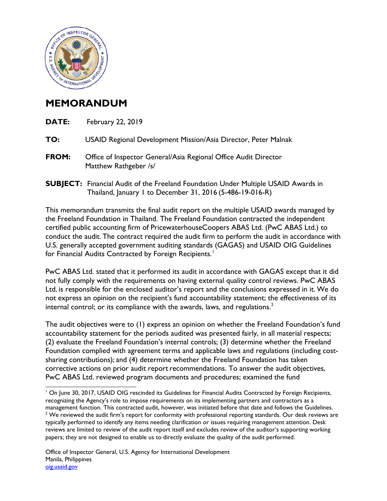

## **MEMORANDUM**

| DATE: | <b>February 22, 2019</b>                                                                                                                               |
|-------|--------------------------------------------------------------------------------------------------------------------------------------------------------|
| TO:   | USAID Regional Development Mission/Asia Director, Peter Malnak                                                                                         |
| FROM: | Office of Inspector General/Asia Regional Office Audit Director<br>Matthew Rathgeber /s/                                                               |
|       | <b>SUBJECT:</b> Financial Audit of the Freeland Foundation Under Multiple USAID Awards in<br>Thailand, January 1 to December 31, 2016 (5-486-19-016-R) |

This memorandum transmits the final audit report on the multiple USAID awards managed by the Freeland Foundation in Thailand. The Freeland Foundation contracted the independent certified public accounting firm of PricewaterhouseCoopers ABAS Ltd. (PwC ABAS Ltd.) to conduct the audit. The contract required the audit firm to perform the audit in accordance with U.S. generally accepted government auditing standards (GAGAS) and USAID OIG Guidelines for Financial Audits Contracted by Foreign Recipients.<sup>[1](#page-0-0)</sup>

PwC ABAS Ltd. stated that it performed its audit in accordance with GAGAS except that it did not fully comply with the requirements on having external quality control reviews. PwC ABAS Ltd. is responsible for the enclosed auditor's report and the conclusions expressed in it. We do not express an opinion on the recipient's fund accountability statement; the effectiveness of its internal control; or its compliance with the awards, laws, and regulations.<sup>[2](#page-0-1)</sup>

The audit objectives were to (1) express an opinion on whether the Freeland Foundation's fund accountability statement for the periods audited was presented fairly, in all material respects; (2) evaluate the Freeland Foundation's internal controls; (3) determine whether the Freeland Foundation complied with agreement terms and applicable laws and regulations (including costsharing contributions); and (4) determine whether the Freeland Foundation has taken corrective actions on prior audit report recommendations. To answer the audit objectives, PwC ABAS Ltd. reviewed program documents and procedures; examined the fund

<span id="page-0-1"></span><span id="page-0-0"></span> $\overline{a}$ <sup>1</sup> On June 30, 2017, USAID OIG rescinded its Guidelines for Financial Audits Contracted by Foreign Recipients, recognizing the Agency's role to impose requirements on its implementing partners and contractors as a management function. This contracted audit, however, was initiated before that date and follows the Guidelines.  $2$  We reviewed the audit firm's report for conformity with professional reporting standards. Our desk reviews are typically performed to identify any items needing clarification or issues requiring management attention. Desk reviews are limited to review of the audit report itself and excludes review of the auditor's supporting working papers; they are not designed to enable us to directly evaluate the quality of the audit performed.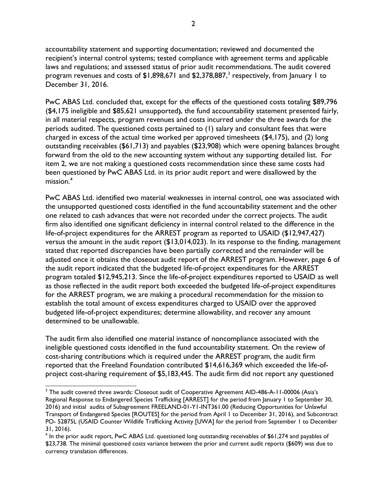accountability statement and supporting documentation; reviewed and documented the recipient's internal control systems; tested compliance with agreement terms and applicable laws and regulations; and assessed status of prior audit recommendations. The audit covered program revenues and costs of  $$1,898,671$  and  $$2,378,887$  $$2,378,887$  $$2,378,887$ ,<sup>3</sup> respectively, from January 1 to December 31, 2016.

PwC ABAS Ltd. concluded that, except for the effects of the questioned costs totaling \$89,796 (\$4,175 ineligible and \$85,621 unsupported**)**, the fund accountability statement presented fairly, in all material respects, program revenues and costs incurred under the three awards for the periods audited. The questioned costs pertained to (1) salary and consultant fees that were charged in excess of the actual time worked per approved timesheets (\$4,175), and (2) long outstanding receivables (\$61,713) and payables (\$23,908) which were opening balances brought forward from the old to the new accounting system without any supporting detailed list. For item 2, we are not making a questioned costs recommendation since these same costs had been questioned by PwC ABAS Ltd. in its prior audit report and were disallowed by the mission. **[4](#page-1-1)**

PwC ABAS Ltd. identified two material weaknesses in internal control, one was associated with the unsupported questioned costs identified in the fund accountability statement and the other one related to cash advances that were not recorded under the correct projects. The audit firm also identified one significant deficiency in internal control related to the difference in the life-of-project expenditures for the ARREST program as reported to USAID (\$12,947,427) versus the amount in the audit report (\$13,014,023). In its response to the finding, management stated that reported discrepancies have been partially corrected and the remainder will be adjusted once it obtains the closeout audit report of the ARREST program. However, page 6 of the audit report indicated that the budgeted life-of-project expenditures for the ARREST program totaled \$12,945,213. Since the life-of-project expenditures reported to USAID as well as those reflected in the audit report both exceeded the budgeted life-of-project expenditures for the ARREST program, we are making a procedural recommendation for the mission to establish the total amount of excess expenditures charged to USAID over the approved budgeted life-of-project expenditures; determine allowability, and recover any amount determined to be unallowable.

The audit firm also identified one material instance of noncompliance associated with the ineligible questioned costs identified in the fund accountability statement. On the review of cost-sharing contributions which is required under the ARREST program, the audit firm reported that the Freeland Foundation contributed \$14,616,369 which exceeded the life-ofproject cost-sharing requirement of \$5,183,445. The audit firm did not report any questioned

 $\overline{a}$ 

<span id="page-1-0"></span><sup>&</sup>lt;sup>3</sup> The audit covered three awards: Closeout audit of Cooperative Agreement AID-486-A-11-00006 (Asia's Regional Response to Endangered Species Trafficking [ARREST] for the period from January 1 to September 30, 2016) and initial audits of Subagreement FREELAND-01-Y1-INT361.00 (Reducing Opportunities for Unlawful Transport of Endangered Species [ROUTES] for the period from April 1 to December 31, 2016), and Subcontract PO- 52875L (USAID Counter Wildlife Trafficking Activity [UWA] for the period from September 1 to December 31, 2016).

<span id="page-1-1"></span><sup>4</sup> In the prior audit report, PwC ABAS Ltd. questioned long outstanding receivables of \$61,274 and payables of \$23,738. The minimal questioned costs variance between the prior and current audit reports (\$609) was due to currency translation differences.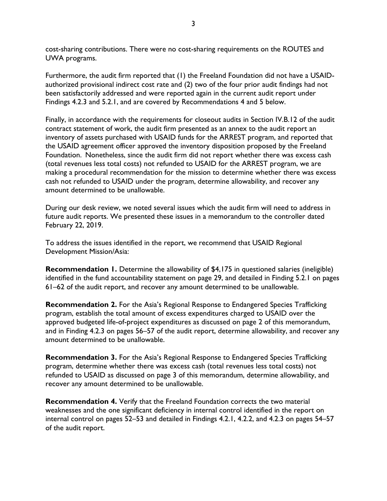cost-sharing contributions. There were no cost-sharing requirements on the ROUTES and UWA programs.

Furthermore, the audit firm reported that (1) the Freeland Foundation did not have a USAIDauthorized provisional indirect cost rate and (2) two of the four prior audit findings had not been satisfactorily addressed and were reported again in the current audit report under Findings 4.2.3 and 5.2.1, and are covered by Recommendations 4 and 5 below.

Finally, in accordance with the requirements for closeout audits in Section IV.B.12 of the audit contract statement of work, the audit firm presented as an annex to the audit report an inventory of assets purchased with USAID funds for the ARREST program, and reported that the USAID agreement officer approved the inventory disposition proposed by the Freeland Foundation. Nonetheless, since the audit firm did not report whether there was excess cash (total revenues less total costs) not refunded to USAID for the ARREST program, we are making a procedural recommendation for the mission to determine whether there was excess cash not refunded to USAID under the program, determine allowability, and recover any amount determined to be unallowable.

During our desk review, we noted several issues which the audit firm will need to address in future audit reports. We presented these issues in a memorandum to the controller dated February 22, 2019.

To address the issues identified in the report, we recommend that USAID Regional Development Mission/Asia:

**Recommendation 1.** Determine the allowability of \$4,175 in questioned salaries (ineligible) identified in the fund accountability statement on page 29, and detailed in Finding 5.2.1 on pages 61–62 of the audit report, and recover any amount determined to be unallowable.

**Recommendation 2.** For the Asia's Regional Response to Endangered Species Trafficking program, establish the total amount of excess expenditures charged to USAID over the approved budgeted life-of-project expenditures as discussed on page 2 of this memorandum, and in Finding 4.2.3 on pages 56–57 of the audit report, determine allowability, and recover any amount determined to be unallowable.

**Recommendation 3.** For the Asia's Regional Response to Endangered Species Trafficking program, determine whether there was excess cash (total revenues less total costs) not refunded to USAID as discussed on page 3 of this memorandum, determine allowability, and recover any amount determined to be unallowable.

**Recommendation 4.** Verify that the Freeland Foundation corrects the two material weaknesses and the one significant deficiency in internal control identified in the report on internal control on pages 52–53 and detailed in Findings 4.2.1, 4.2.2, and 4.2.3 on pages 54–57 of the audit report.